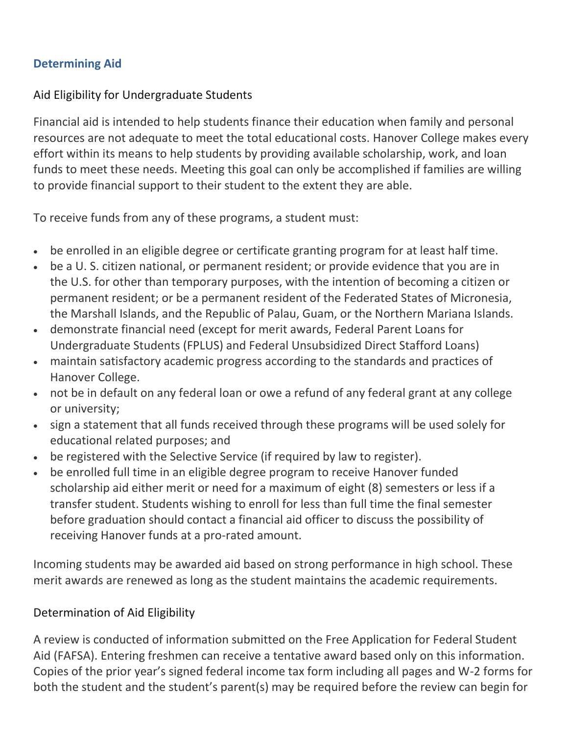## **Determining Aid**

## Aid Eligibility for Undergraduate Students

Financial aid is intended to help students finance their education when family and personal resources are not adequate to meet the total educational costs. Hanover College makes every effort within its means to help students by providing available scholarship, work, and loan funds to meet these needs. Meeting this goal can only be accomplished if families are willing to provide financial support to their student to the extent they are able.

To receive funds from any of these programs, a student must:

- be enrolled in an eligible degree or certificate granting program for at least half time.
- be a U. S. citizen national, or permanent resident; or provide evidence that you are in the U.S. for other than temporary purposes, with the intention of becoming a citizen or permanent resident; or be a permanent resident of the Federated States of Micronesia, the Marshall Islands, and the Republic of Palau, Guam, or the Northern Mariana Islands.
- demonstrate financial need (except for merit awards, Federal Parent Loans for Undergraduate Students (FPLUS) and Federal Unsubsidized Direct Stafford Loans)
- maintain satisfactory academic progress according to the standards and practices of Hanover College.
- not be in default on any federal loan or owe a refund of any federal grant at any college or university;
- sign a statement that all funds received through these programs will be used solely for educational related purposes; and
- be registered with the Selective Service (if required by law to register).
- be enrolled full time in an eligible degree program to receive Hanover funded scholarship aid either merit or need for a maximum of eight (8) semesters or less if a transfer student. Students wishing to enroll for less than full time the final semester before graduation should contact a financial aid officer to discuss the possibility of receiving Hanover funds at a pro-rated amount.

Incoming students may be awarded aid based on strong performance in high school. These merit awards are renewed as long as the student maintains the academic requirements.

## Determination of Aid Eligibility

A review is conducted of information submitted on the Free Application for Federal Student Aid (FAFSA). Entering freshmen can receive a tentative award based only on this information. Copies of the prior year's signed federal income tax form including all pages and W-2 forms for both the student and the student's parent(s) may be required before the review can begin for